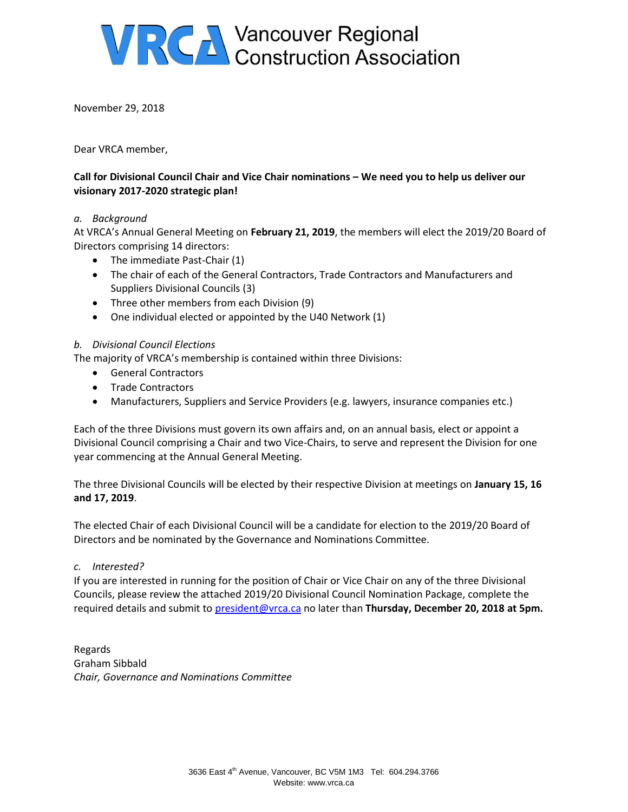

November 29, 2018

Dear VRCA member,

#### **Call for Divisional Council Chair and Vice Chair nominations – We need you to help us deliver our visionary 2017-2020 strategic plan!**

#### *a. Background*

At VRCA's Annual General Meeting on **February 21, 2019**, the members will elect the 2019/20 Board of Directors comprising 14 directors:

- The immediate Past-Chair (1)
- The chair of each of the General Contractors, Trade Contractors and Manufacturers and Suppliers Divisional Councils (3)
- Three other members from each Division (9)
- One individual elected or appointed by the U40 Network (1)

#### *b. Divisional Council Elections*

The majority of VRCA's membership is contained within three Divisions:

- General Contractors
- Trade Contractors
- Manufacturers, Suppliers and Service Providers (e.g. lawyers, insurance companies etc.)

Each of the three Divisions must govern its own affairs and, on an annual basis, elect or appoint a Divisional Council comprising a Chair and two Vice-Chairs, to serve and represent the Division for one year commencing at the Annual General Meeting.

The three Divisional Councils will be elected by their respective Division at meetings on **January 15, 16 and 17, 2019**.

The elected Chair of each Divisional Council will be a candidate for election to the 2019/20 Board of Directors and be nominated by the Governance and Nominations Committee.

#### *c. Interested?*

If you are interested in running for the position of Chair or Vice Chair on any of the three Divisional Councils, please review the attached 2019/20 Divisional Council Nomination Package, complete the required details and submit t[o president@vrca.ca](mailto:president@vrca.ca) no later than **Thursday, December 20, 2018 at 5pm.**

Regards Graham Sibbald *Chair, Governance and Nominations Committee*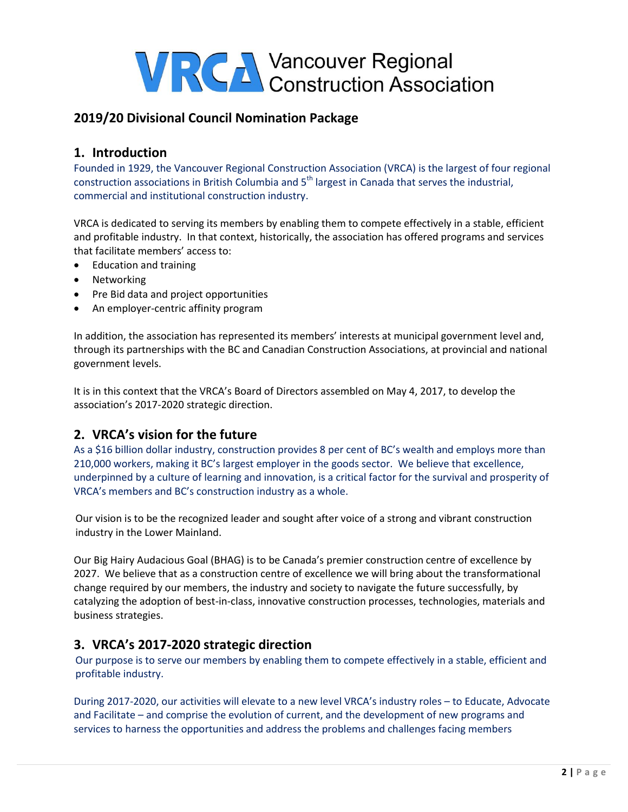## **2019/20 Divisional Council Nomination Package**

#### **1. Introduction**

Founded in 1929, the Vancouver Regional Construction Association (VRCA) is the largest of four regional construction associations in British Columbia and 5<sup>th</sup> largest in Canada that serves the industrial, commercial and institutional construction industry.

VRCA is dedicated to serving its members by enabling them to compete effectively in a stable, efficient and profitable industry. In that context, historically, the association has offered programs and services that facilitate members' access to:

- Education and training
- Networking
- Pre Bid data and project opportunities
- An employer-centric affinity program

In addition, the association has represented its members' interests at municipal government level and, through its partnerships with the BC and Canadian Construction Associations, at provincial and national government levels.

It is in this context that the VRCA's Board of Directors assembled on May 4, 2017, to develop the association's 2017-2020 strategic direction.

#### **2. VRCA's vision for the future**

As a \$16 billion dollar industry, construction provides 8 per cent of BC's wealth and employs more than 210,000 workers, making it BC's largest employer in the goods sector. We believe that excellence, underpinned by a culture of learning and innovation, is a critical factor for the survival and prosperity of VRCA's members and BC's construction industry as a whole.

Our vision is to be the recognized leader and sought after voice of a strong and vibrant construction industry in the Lower Mainland.

Our Big Hairy Audacious Goal (BHAG) is to be Canada's premier construction centre of excellence by 2027. We believe that as a construction centre of excellence we will bring about the transformational change required by our members, the industry and society to navigate the future successfully, by catalyzing the adoption of best-in-class, innovative construction processes, technologies, materials and business strategies.

#### **3. VRCA's 2017-2020 strategic direction**

Our purpose is to serve our members by enabling them to compete effectively in a stable, efficient and profitable industry.

During 2017-2020, our activities will elevate to a new level VRCA's industry roles – to Educate, Advocate and Facilitate – and comprise the evolution of current, and the development of new programs and services to harness the opportunities and address the problems and challenges facing members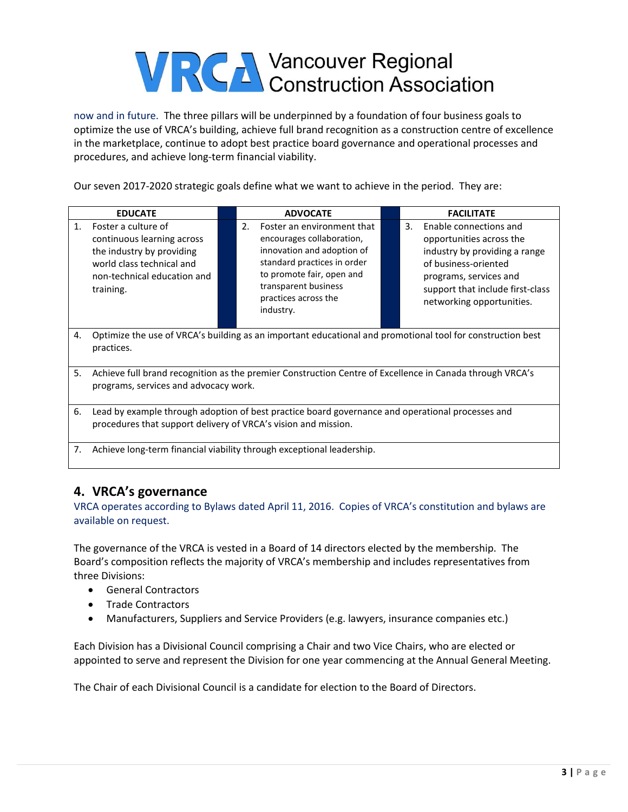now and in future. The three pillars will be underpinned by a foundation of four business goals to optimize the use of VRCA's building, achieve full brand recognition as a construction centre of excellence in the marketplace, continue to adopt best practice board governance and operational processes and procedures, and achieve long-term financial viability.

Our seven 2017-2020 strategic goals define what we want to achieve in the period. They are:

| <b>EDUCATE</b>                                                                                                                                                          |  | <b>ADVOCATE</b>                                                                                                                                                                                                                 |  |    | <b>FACILITATE</b>                                                                                                                                                                                      |
|-------------------------------------------------------------------------------------------------------------------------------------------------------------------------|--|---------------------------------------------------------------------------------------------------------------------------------------------------------------------------------------------------------------------------------|--|----|--------------------------------------------------------------------------------------------------------------------------------------------------------------------------------------------------------|
| Foster a culture of<br>$\mathbf{1}$<br>continuous learning across<br>the industry by providing<br>world class technical and<br>non-technical education and<br>training. |  | Foster an environment that<br>$\mathcal{P}$<br>encourages collaboration,<br>innovation and adoption of<br>standard practices in order<br>to promote fair, open and<br>transparent business<br>practices across the<br>industry. |  | 3. | Enable connections and<br>opportunities across the<br>industry by providing a range<br>of business-oriented<br>programs, services and<br>support that include first-class<br>networking opportunities. |
| Optimize the use of VRCA's building as an important educational and promotional tool for construction best<br>4.<br>practices.                                          |  |                                                                                                                                                                                                                                 |  |    |                                                                                                                                                                                                        |

- 5. Achieve full brand recognition as the premier Construction Centre of Excellence in Canada through VRCA's programs, services and advocacy work.
- 6. Lead by example through adoption of best practice board governance and operational processes and procedures that support delivery of VRCA's vision and mission.
- 7. Achieve long-term financial viability through exceptional leadership.

#### **4. VRCA's governance**

VRCA operates according to Bylaws dated April 11, 2016. Copies of VRCA's constitution and bylaws are available on request.

The governance of the VRCA is vested in a Board of 14 directors elected by the membership. The Board's composition reflects the majority of VRCA's membership and includes representatives from three Divisions:

- General Contractors
- Trade Contractors
- Manufacturers, Suppliers and Service Providers (e.g. lawyers, insurance companies etc.)

Each Division has a Divisional Council comprising a Chair and two Vice Chairs, who are elected or appointed to serve and represent the Division for one year commencing at the Annual General Meeting.

The Chair of each Divisional Council is a candidate for election to the Board of Directors.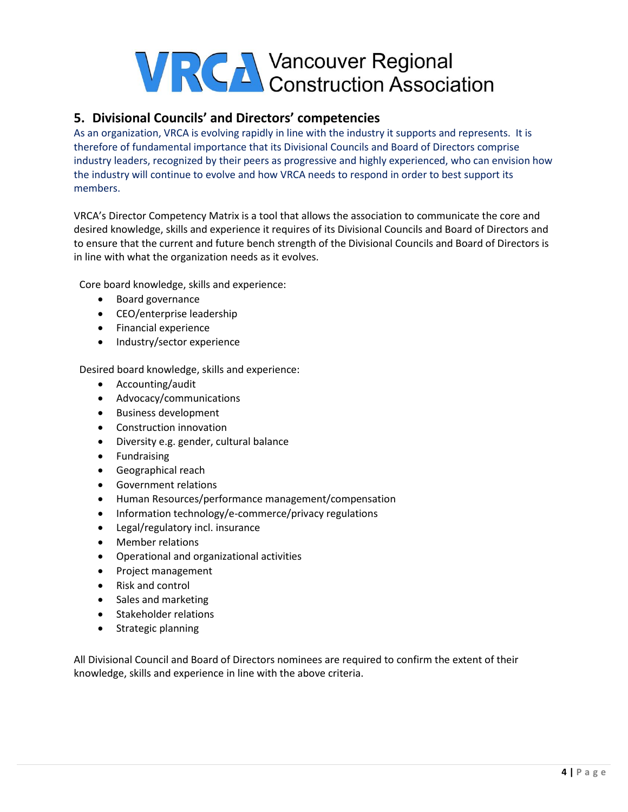

## **5. Divisional Councils' and Directors' competencies**

As an organization, VRCA is evolving rapidly in line with the industry it supports and represents. It is therefore of fundamental importance that its Divisional Councils and Board of Directors comprise industry leaders, recognized by their peers as progressive and highly experienced, who can envision how the industry will continue to evolve and how VRCA needs to respond in order to best support its members.

VRCA's Director Competency Matrix is a tool that allows the association to communicate the core and desired knowledge, skills and experience it requires of its Divisional Councils and Board of Directors and to ensure that the current and future bench strength of the Divisional Councils and Board of Directors is in line with what the organization needs as it evolves.

Core board knowledge, skills and experience:

- Board governance
- CEO/enterprise leadership
- Financial experience
- Industry/sector experience

Desired board knowledge, skills and experience:

- Accounting/audit
- Advocacy/communications
- Business development
- Construction innovation
- Diversity e.g. gender, cultural balance
- **•** Fundraising
- Geographical reach
- Government relations
- Human Resources/performance management/compensation
- Information technology/e-commerce/privacy regulations
- Legal/regulatory incl. insurance
- Member relations
- Operational and organizational activities
- Project management
- Risk and control
- Sales and marketing
- Stakeholder relations
- Strategic planning

All Divisional Council and Board of Directors nominees are required to confirm the extent of their knowledge, skills and experience in line with the above criteria.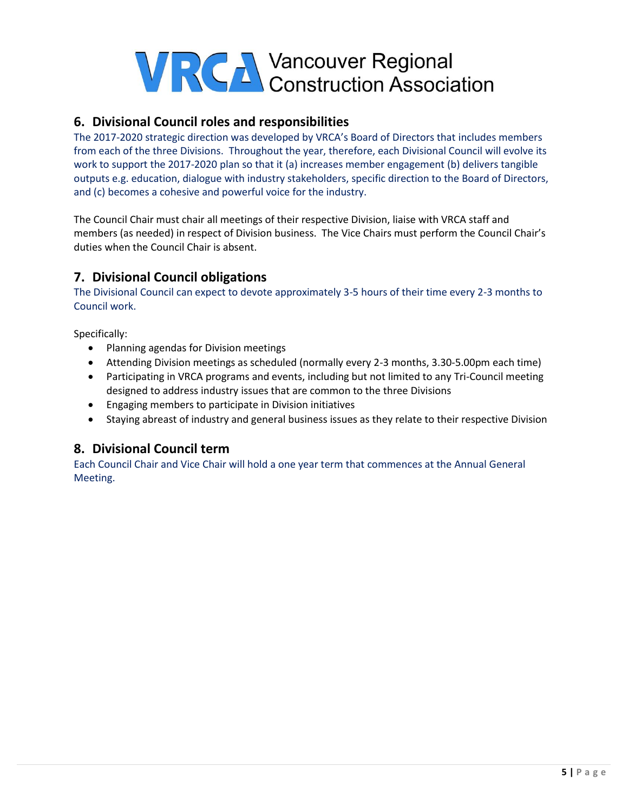

#### **6. Divisional Council roles and responsibilities**

The 2017-2020 strategic direction was developed by VRCA's Board of Directors that includes members from each of the three Divisions. Throughout the year, therefore, each Divisional Council will evolve its work to support the 2017-2020 plan so that it (a) increases member engagement (b) delivers tangible outputs e.g. education, dialogue with industry stakeholders, specific direction to the Board of Directors, and (c) becomes a cohesive and powerful voice for the industry.

The Council Chair must chair all meetings of their respective Division, liaise with VRCA staff and members (as needed) in respect of Division business. The Vice Chairs must perform the Council Chair's duties when the Council Chair is absent.

### **7. Divisional Council obligations**

The Divisional Council can expect to devote approximately 3-5 hours of their time every 2-3 months to Council work.

Specifically:

- Planning agendas for Division meetings
- Attending Division meetings as scheduled (normally every 2-3 months, 3.30-5.00pm each time)
- Participating in VRCA programs and events, including but not limited to any Tri-Council meeting designed to address industry issues that are common to the three Divisions
- Engaging members to participate in Division initiatives
- Staying abreast of industry and general business issues as they relate to their respective Division

#### **8. Divisional Council term**

Each Council Chair and Vice Chair will hold a one year term that commences at the Annual General Meeting.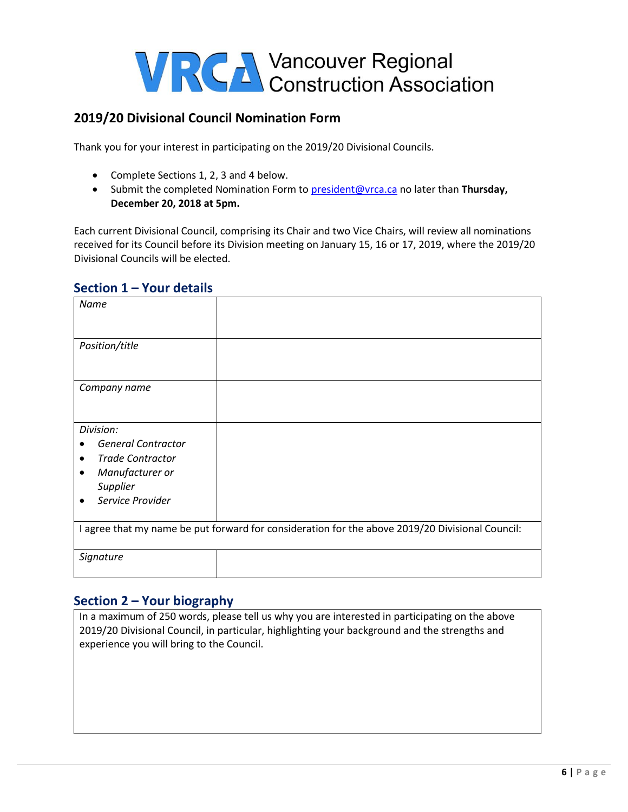### **2019/20 Divisional Council Nomination Form**

Thank you for your interest in participating on the 2019/20 Divisional Councils.

- Complete Sections 1, 2, 3 and 4 below.
- Submit the completed Nomination Form to [president@vrca.ca](mailto:president@vrca.ca) no later than **Thursday, December 20, 2018 at 5pm.**

Each current Divisional Council, comprising its Chair and two Vice Chairs, will review all nominations received for its Council before its Division meeting on January 15, 16 or 17, 2019, where the 2019/20 Divisional Councils will be elected.

#### **Section 1 – Your details**

| Name                                                                                                                                                        |  |  |  |  |
|-------------------------------------------------------------------------------------------------------------------------------------------------------------|--|--|--|--|
| Position/title                                                                                                                                              |  |  |  |  |
| Company name                                                                                                                                                |  |  |  |  |
| Division:<br><b>General Contractor</b><br><b>Trade Contractor</b><br>$\bullet$<br>Manufacturer or<br>$\bullet$<br>Supplier<br>Service Provider<br>$\bullet$ |  |  |  |  |
| I agree that my name be put forward for consideration for the above 2019/20 Divisional Council:                                                             |  |  |  |  |
| Signature                                                                                                                                                   |  |  |  |  |

#### **Section 2 – Your biography**

In a maximum of 250 words, please tell us why you are interested in participating on the above 2019/20 Divisional Council, in particular, highlighting your background and the strengths and experience you will bring to the Council.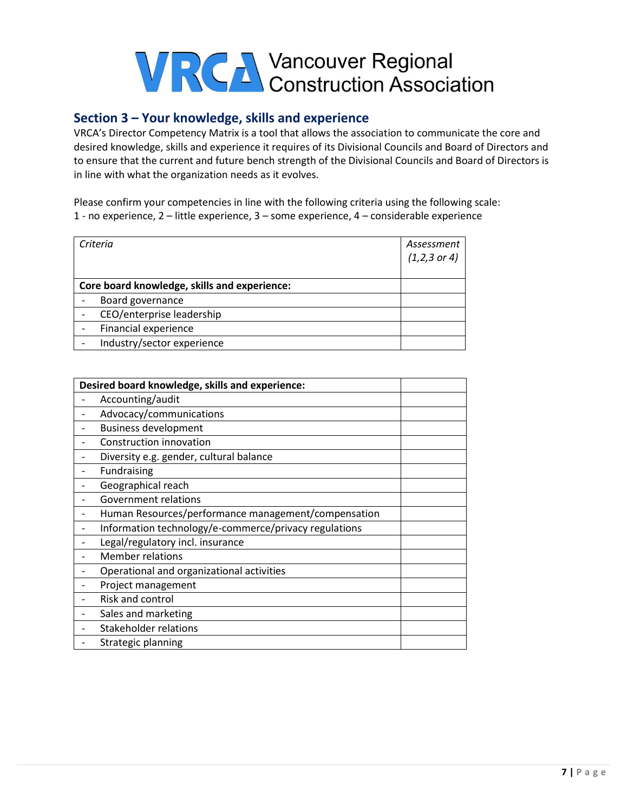### **Section 3 – Your knowledge, skills and experience**

VRCA's Director Competency Matrix is a tool that allows the association to communicate the core and desired knowledge, skills and experience it requires of its Divisional Councils and Board of Directors and to ensure that the current and future bench strength of the Divisional Councils and Board of Directors is in line with what the organization needs as it evolves.

Please confirm your competencies in line with the following criteria using the following scale: 1 - no experience, 2 – little experience, 3 – some experience, 4 – considerable experience

| Criteria                                     | Assessment<br>$(1,2,3 \text{ or } 4)$ |
|----------------------------------------------|---------------------------------------|
|                                              |                                       |
| Core board knowledge, skills and experience: |                                       |
| Board governance                             |                                       |
| CEO/enterprise leadership                    |                                       |
| Financial experience                         |                                       |
| Industry/sector experience                   |                                       |

| Desired board knowledge, skills and experience:       |  |  |
|-------------------------------------------------------|--|--|
| Accounting/audit                                      |  |  |
| Advocacy/communications                               |  |  |
| <b>Business development</b>                           |  |  |
| Construction innovation                               |  |  |
| Diversity e.g. gender, cultural balance               |  |  |
| Fundraising                                           |  |  |
| Geographical reach                                    |  |  |
| <b>Government relations</b>                           |  |  |
| Human Resources/performance management/compensation   |  |  |
| Information technology/e-commerce/privacy regulations |  |  |
| Legal/regulatory incl. insurance                      |  |  |
| <b>Member relations</b>                               |  |  |
| Operational and organizational activities             |  |  |
| Project management                                    |  |  |
| Risk and control                                      |  |  |
| Sales and marketing                                   |  |  |
| <b>Stakeholder relations</b>                          |  |  |
| Strategic planning                                    |  |  |